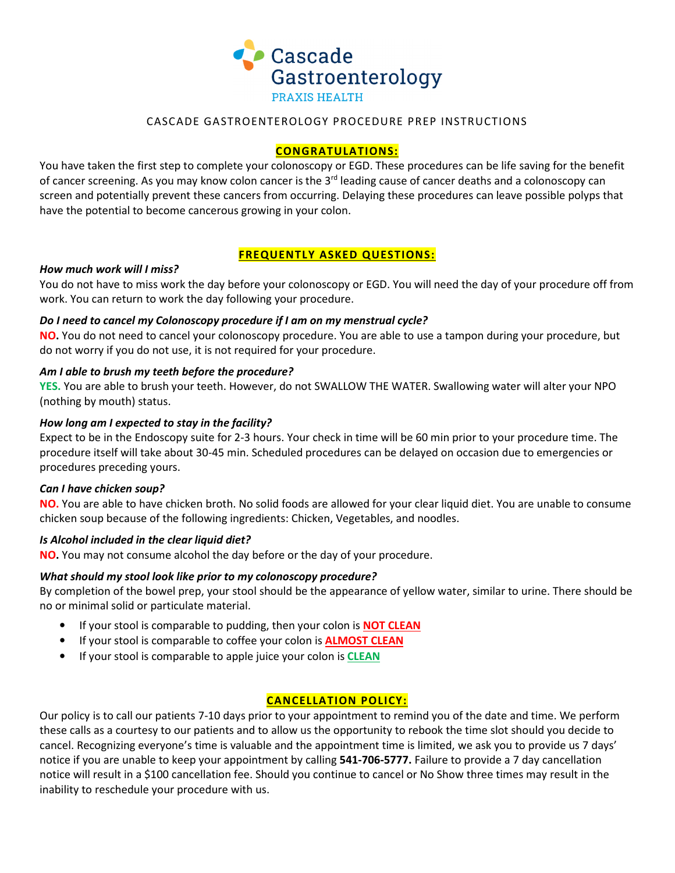

### CASCADE GASTROENTEROLOGY PROCEDURE PREP INSTRUCTIONS

#### **CONGRATULATIONS:**

You have taken the first step to complete your colonoscopy or EGD. These procedures can be life saving for the benefit of cancer screening. As you may know colon cancer is the 3<sup>rd</sup> leading cause of cancer deaths and a colonoscopy can screen and potentially prevent these cancers from occurring. Delaying these procedures can leave possible polyps that have the potential to become cancerous growing in your colon.

#### **FREQUENTLY ASKED QUESTIONS:**

#### *How much work will I miss?*

You do not have to miss work the day before your colonoscopy or EGD. You will need the day of your procedure off from work. You can return to work the day following your procedure.

#### *Do I need to cancel my Colonoscopy procedure if I am on my menstrual cycle?*

**NO.** You do not need to cancel your colonoscopy procedure. You are able to use a tampon during your procedure, but do not worry if you do not use, it is not required for your procedure.

#### *Am I able to brush my teeth before the procedure?*

**YES.** You are able to brush your teeth. However, do not SWALLOW THE WATER. Swallowing water will alter your NPO (nothing by mouth) status.

#### *How long am I expected to stay in the facility?*

Expect to be in the Endoscopy suite for 2-3 hours. Your check in time will be 60 min prior to your procedure time. The procedure itself will take about 30-45 min. Scheduled procedures can be delayed on occasion due to emergencies or procedures preceding yours.

#### *Can I have chicken soup?*

**NO.** You are able to have chicken broth. No solid foods are allowed for your clear liquid diet. You are unable to consume chicken soup because of the following ingredients: Chicken, Vegetables, and noodles.

#### *Is Alcohol included in the clear liquid diet?*

**NO.** You may not consume alcohol the day before or the day of your procedure.

#### *What should my stool look like prior to my colonoscopy procedure?*

By completion of the bowel prep, your stool should be the appearance of yellow water, similar to urine. There should be no or minimal solid or particulate material.

- If your stool is comparable to pudding, then your colon is **NOT CLEAN**
- If your stool is comparable to coffee your colon is **ALMOST CLEAN**
- If your stool is comparable to apple juice your colon is **CLEAN**

## **CANCELLATION POLICY:**

Our policy is to call our patients 7-10 days prior to your appointment to remind you of the date and time. We perform these calls as a courtesy to our patients and to allow us the opportunity to rebook the time slot should you decide to cancel. Recognizing everyone's time is valuable and the appointment time is limited, we ask you to provide us 7 days' notice if you are unable to keep your appointment by calling **541-706-5777.** Failure to provide a 7 day cancellation notice will result in a \$100 cancellation fee. Should you continue to cancel or No Show three times may result in the inability to reschedule your procedure with us.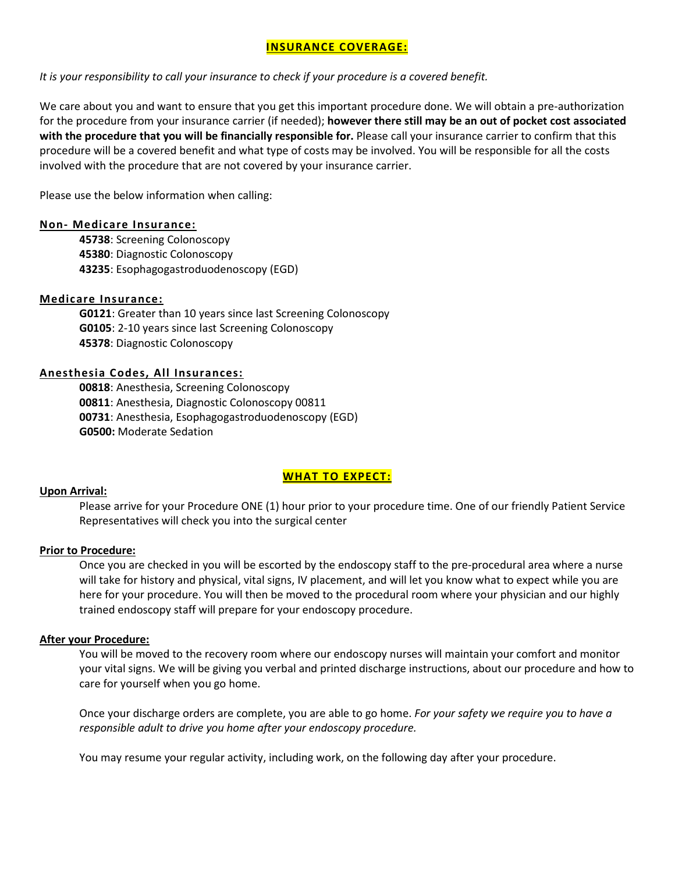## **INSURANCE COVERAGE:**

*It is your responsibility to call your insurance to check if your procedure is a covered benefit.* 

We care about you and want to ensure that you get this important procedure done. We will obtain a pre-authorization for the procedure from your insurance carrier (if needed); **however there still may be an out of pocket cost associated with the procedure that you will be financially responsible for.** Please call your insurance carrier to confirm that this procedure will be a covered benefit and what type of costs may be involved. You will be responsible for all the costs involved with the procedure that are not covered by your insurance carrier.

Please use the below information when calling:

#### **Non- Medicare Insurance:**

**45738**: Screening Colonoscopy **45380**: Diagnostic Colonoscopy **43235**: Esophagogastroduodenoscopy (EGD)

#### **Medicare Insurance:**

**G0121**: Greater than 10 years since last Screening Colonoscopy **G0105**: 2-10 years since last Screening Colonoscopy **45378**: Diagnostic Colonoscopy

#### **Anesthesia Codes, All Insurances:**

: Anesthesia, Screening Colonoscopy : Anesthesia, Diagnostic Colonoscopy 00811 : Anesthesia, Esophagogastroduodenoscopy (EGD) **G0500:** Moderate Sedation

## **WHAT TO EXPECT:**

#### **Upon Arrival:**

Please arrive for your Procedure ONE (1) hour prior to your procedure time. One of our friendly Patient Service Representatives will check you into the surgical center

#### **Prior to Procedure:**

Once you are checked in you will be escorted by the endoscopy staff to the pre-procedural area where a nurse will take for history and physical, vital signs, IV placement, and will let you know what to expect while you are here for your procedure. You will then be moved to the procedural room where your physician and our highly trained endoscopy staff will prepare for your endoscopy procedure.

#### **After your Procedure:**

You will be moved to the recovery room where our endoscopy nurses will maintain your comfort and monitor your vital signs. We will be giving you verbal and printed discharge instructions, about our procedure and how to care for yourself when you go home.

Once your discharge orders are complete, you are able to go home. *For your safety we require you to have a responsible adult to drive you home after your endoscopy procedure.* 

You may resume your regular activity, including work, on the following day after your procedure.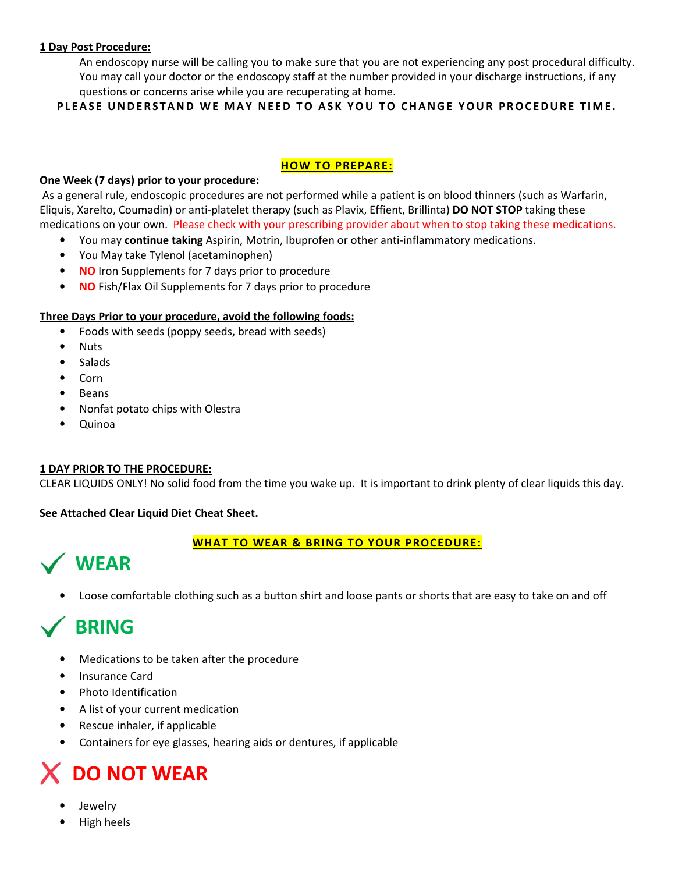#### **1 Day Post Procedure:**

An endoscopy nurse will be calling you to make sure that you are not experiencing any post procedural difficulty. You may call your doctor or the endoscopy staff at the number provided in your discharge instructions, if any questions or concerns arise while you are recuperating at home.

#### PLEASE UNDERSTAND WE MAY NEED TO ASK YOU TO CHANGE YOUR PROCEDURE TIME.

#### **HOW TO PREPARE:**

#### **One Week (7 days) prior to your procedure:**

 As a general rule, endoscopic procedures are not performed while a patient is on blood thinners (such as Warfarin, Eliquis, Xarelto, Coumadin) or anti-platelet therapy (such as Plavix, Effient, Brillinta) **DO NOT STOP** taking these medications on your own. Please check with your prescribing provider about when to stop taking these medications.

- You may **continue taking** Aspirin, Motrin, Ibuprofen or other anti-inflammatory medications.
- You May take Tylenol (acetaminophen)
- **NO** Iron Supplements for 7 days prior to procedure
- **NO** Fish/Flax Oil Supplements for 7 days prior to procedure

#### **Three Days Prior to your procedure, avoid the following foods:**

- Foods with seeds (poppy seeds, bread with seeds)
- Nuts
- **Salads**
- Corn
- **Beans**
- Nonfat potato chips with Olestra
- Quinoa

## **1 DAY PRIOR TO THE PROCEDURE:**

CLEAR LIQUIDS ONLY! No solid food from the time you wake up. It is important to drink plenty of clear liquids this day.

#### **See Attached Clear Liquid Diet Cheat Sheet.**

## **WHAT TO WEAR & BRING TO YOUR PROCEDURE:**



• Loose comfortable clothing such as a button shirt and loose pants or shorts that are easy to take on and off

## **BRING**

- Medications to be taken after the procedure
- Insurance Card
- Photo Identification
- A list of your current medication
- Rescue inhaler, if applicable
- Containers for eye glasses, hearing aids or dentures, if applicable

# **DO NOT WEAR**

- **Jewelry**
- High heels